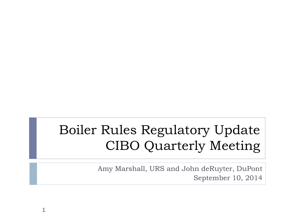## Boiler Rules Regulatory Update CIBO Quarterly Meeting

1

Amy Marshall, URS and John deRuyter, DuPont September 10, 2014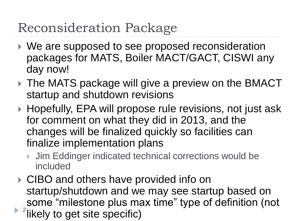## Reconsideration Package

- ▶ We are supposed to see proposed reconsideration packages for MATS, Boiler MACT/GACT, CISWI any day now!
- ▶ The MATS package will give a preview on the BMACT startup and shutdown revisions
- ▶ Hopefully, EPA will propose rule revisions, not just ask for comment on what they did in 2013, and the changes will be finalized quickly so facilities can finalize implementation plans
	- ▶ Jim Eddinger indicated technical corrections would be included
- ▶ CIBO and others have provided info on startup/shutdown and we may see startup based on some "milestone plus max time" type of definition (not  $\blacktriangleright$  <sup>2</sup> likely to get site specific)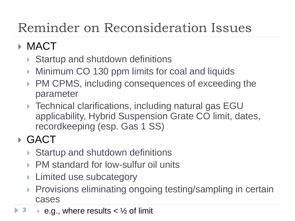# Reminder on Reconsideration Issues

### **MACT**

- ▶ Startup and shutdown definitions
- Minimum CO 130 ppm limits for coal and liquids
- ▶ PM CPMS, including consequences of exceeding the parameter
- ▶ Technical clarifications, including natural gas EGU applicability, Hybrid Suspension Grate CO limit, dates, recordkeeping (esp. Gas 1 SS)

## GACT

- ▶ Startup and shutdown definitions
- ▶ PM standard for low-sulfur oil units
- Limited use subcategory
- ▶ Provisions eliminating ongoing testing/sampling in certain cases
- $3 \rightarrow e.g.,$  where results  $\lt \frac{1}{2}$  of limit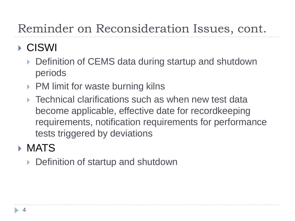## Reminder on Reconsideration Issues, cont.

### CISWI

- Definition of CEMS data during startup and shutdown periods
- ▶ PM limit for waste burning kilns
- ▶ Technical clarifications such as when new test data become applicable, effective date for recordkeeping requirements, notification requirements for performance tests triggered by deviations

#### **MATS**

▶ Definition of startup and shutdown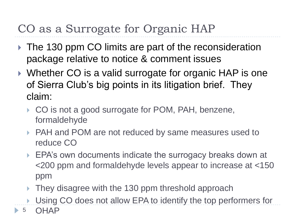### CO as a Surrogate for Organic HAP

- ▶ The 130 ppm CO limits are part of the reconsideration package relative to notice & comment issues
- ▶ Whether CO is a valid surrogate for organic HAP is one of Sierra Club's big points in its litigation brief. They claim:
	- ▶ CO is not a good surrogate for POM, PAH, benzene, formaldehyde
	- ▶ PAH and POM are not reduced by same measures used to reduce CO
	- ▶ EPA's own documents indicate the surrogacy breaks down at <200 ppm and formaldehyde levels appear to increase at <150 ppm
	- ▶ They disagree with the 130 ppm threshold approach
	- ▶ Using CO does not allow EPA to identify the top performers for <sup>5</sup> OHAP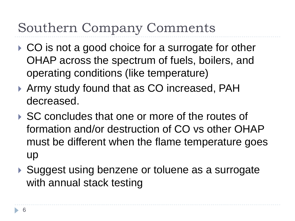# Southern Company Comments

- ▶ CO is not a good choice for a surrogate for other OHAP across the spectrum of fuels, boilers, and operating conditions (like temperature)
- Army study found that as CO increased, PAH decreased.
- ▶ SC concludes that one or more of the routes of formation and/or destruction of CO vs other OHAP must be different when the flame temperature goes up
- ▶ Suggest using benzene or toluene as a surrogate with annual stack testing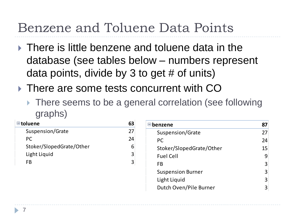## Benzene and Toluene Data Points

- $\triangleright$  There is little benzene and toluene data in the database (see tables below – numbers represent data points, divide by 3 to get # of units)
- ▶ There are some tests concurrent with CO
	- ▶ There seems to be a general correlation (see following graphs)

| $\blacksquare$ toluene   | 63 |
|--------------------------|----|
| Suspension/Grate         | 27 |
| PC.                      | 24 |
| Stoker/SlopedGrate/Other |    |
| Light Liquid             | 3  |
| FR                       | З  |

| $\blacksquare$ benzene   | 87 |
|--------------------------|----|
| Suspension/Grate         | 27 |
| PC                       | 24 |
| Stoker/SlopedGrate/Other | 15 |
| <b>Fuel Cell</b>         |    |
| FB                       | З  |
| <b>Suspension Burner</b> | 3  |
| Light Liquid             |    |
| Dutch Oven/Pile Burner   |    |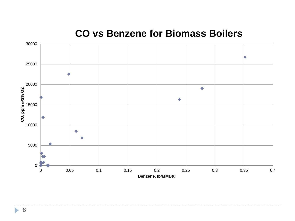#### **CO vs Benzene for Biomass Boilers**



ь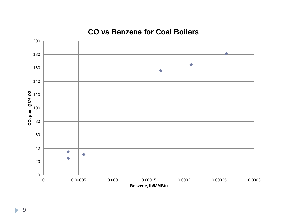#### **CO vs Benzene for Coal Boilers**



 $\blacktriangleright$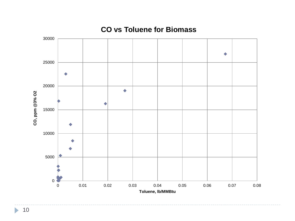

#### **CO vs Toluene for Biomass**

 $\blacktriangleright$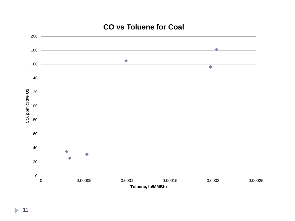

#### **CO vs Toluene for Coal**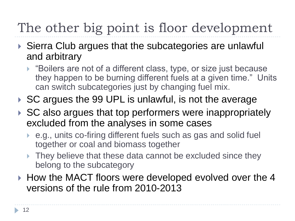# The other big point is floor development

- ▶ Sierra Club argues that the subcategories are unlawful and arbitrary
	- ▶ "Boilers are not of a different class, type, or size just because they happen to be burning different fuels at a given time." Units can switch subcategories just by changing fuel mix.
- ▶ SC argues the 99 UPL is unlawful, is not the average
- ▶ SC also argues that top performers were inappropriately excluded from the analyses in some cases
	- e.g., units co-firing different fuels such as gas and solid fuel together or coal and biomass together
	- ▶ They believe that these data cannot be excluded since they belong to the subcategory
- ▶ How the MACT floors were developed evolved over the 4 versions of the rule from 2010-2013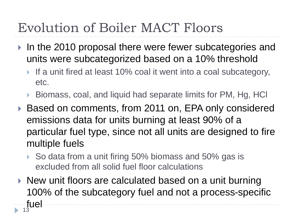# Evolution of Boiler MACT Floors

- In the 2010 proposal there were fewer subcategories and units were subcategorized based on a 10% threshold
	- If a unit fired at least 10% coal it went into a coal subcategory, etc.
	- ▶ Biomass, coal, and liquid had separate limits for PM, Hg, HCl
- ▶ Based on comments, from 2011 on, EPA only considered emissions data for units burning at least 90% of a particular fuel type, since not all units are designed to fire multiple fuels
	- ▶ So data from a unit firing 50% biomass and 50% gas is excluded from all solid fuel floor calculations
- $\triangleright$  New unit floors are calculated based on a unit burning 100% of the subcategory fuel and not a process-specific fuel 13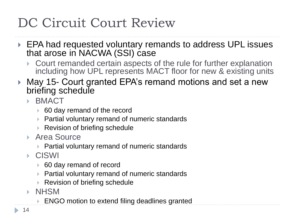# DC Circuit Court Review

- ▶ EPA had requested voluntary remands to address UPL issues that arose in NACWA (SSI) case
	- Court remanded certain aspects of the rule for further explanation including how UPL represents MACT floor for new & existing units
- ▶ May 15- Court granted EPA's remand motions and set a new briefing schedule
	- **BMACT** 
		- 60 day remand of the record
		- ▶ Partial voluntary remand of numeric standards
		- **▶ Revision of briefing schedule**
	- ▶ Area Source
		- ▶ Partial voluntary remand of numeric standards
	- CISWI
		- 60 day remand of record
		- ▶ Partial voluntary remand of numeric standards
		- Revision of briefing schedule
	- **NHSM** 
		- ENGO motion to extend filing deadlines granted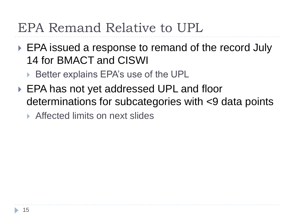## EPA Remand Relative to UPL

- ▶ EPA issued a response to remand of the record July 14 for BMACT and CISWI
	- ▶ Better explains EPA's use of the UPL
- ▶ EPA has not yet addressed UPL and floor determinations for subcategories with <9 data points

▶ Affected limits on next slides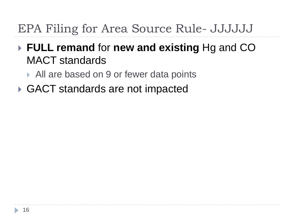### EPA Filing for Area Source Rule- JJJJJJ

#### **FULL remand** for **new and existing** Hg and CO MACT standards

▶ All are based on 9 or fewer data points

**▶ GACT standards are not impacted**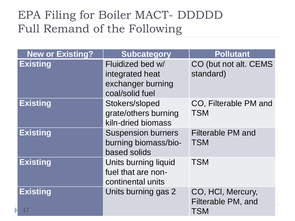#### EPA Filing for Boiler MACT- DDDDD Full Remand of the Following

| <b>New or Existing?</b> | <b>Subcategory</b>                                                          | <b>Pollutant</b>                                      |
|-------------------------|-----------------------------------------------------------------------------|-------------------------------------------------------|
| <b>Existing</b>         | Fluidized bed w/<br>integrated heat<br>exchanger burning<br>coal/solid fuel | CO (but not alt. CEMS<br>standard)                    |
| <b>Existing</b>         | Stokers/sloped<br>grate/others burning<br>kiln-dried biomass                | CO, Filterable PM and<br><b>TSM</b>                   |
| <b>Existing</b>         | <b>Suspension burners</b><br>burning biomass/bio-<br>based solids           | <b>Filterable PM and</b><br><b>TSM</b>                |
| <b>Existing</b>         | Units burning liquid<br>fuel that are non-<br>continental units             | <b>TSM</b>                                            |
| <b>Existing</b><br>17   | Units burning gas 2                                                         | CO, HCI, Mercury,<br>Filterable PM, and<br><b>TSM</b> |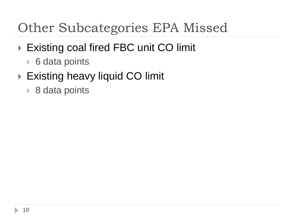## Other Subcategories EPA Missed

- ▶ Existing coal fired FBC unit CO limit
	- ▶ 6 data points
- ▶ Existing heavy liquid CO limit
	- ▶ 8 data points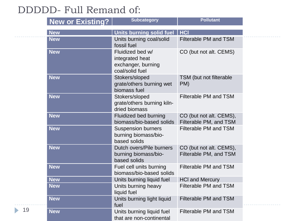#### DDDDD- Full Remand of:

| <b>New or Existing?</b> | <b>Subcategory</b>                                                           | <b>Pollutant</b>                                  |
|-------------------------|------------------------------------------------------------------------------|---------------------------------------------------|
| <b>New</b>              | Units burning solid fuel                                                     | <b>HCI</b>                                        |
| <b>New</b>              | Units burning coal/solid<br>fossil fuel                                      | <b>Filterable PM and TSM</b>                      |
| <b>New</b>              | Fluidized bed w/<br>integrated heat<br>exchanger, burning<br>coal/solid fuel | CO (but not alt. CEMS)                            |
| <b>New</b>              | Stokers/sloped<br>grate/others burning wet<br>biomass fuel                   | TSM (but not filterable)<br>PM)                   |
| <b>New</b>              | Stokers/sloped<br>grate/others burning kiln-<br>dried biomass                | Filterable PM and TSM                             |
| <b>New</b>              | <b>Fluidized bed burning</b><br>biomass/bio-based solids                     | CO (but not alt. CEMS),<br>Filterable PM, and TSM |
| <b>New</b>              | <b>Suspension burners</b><br>burning biomass/bio-<br>based solids            | <b>Filterable PM and TSM</b>                      |
| <b>New</b>              | Dutch overs/Pile burners<br>burning biomass/bio-<br>based solids             | CO (but not alt. CEMS),<br>Filterable PM, and TSM |
| <b>New</b>              | Fuel cell units burning<br>biomass/bio-based solids                          | Filterable PM and TSM                             |
| <b>New</b>              | Units burning liquid fuel                                                    | <b>HCI and Mercury</b>                            |
| <b>New</b>              | Units burning heavy<br>liquid fuel                                           | <b>Filterable PM and TSM</b>                      |
| <b>New</b>              | Units burning light liquid<br>fuel                                           | <b>Filterable PM and TSM</b>                      |
| <b>New</b>              | Units burning liquid fuel<br>that are non-continental                        | <b>Filterable PM and TSM</b>                      |

19

 $\blacktriangleright$ 

---------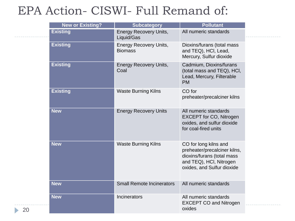#### EPA Action- CISWI- Full Remand of:

| <b>New or Existing?</b> | <b>Subcategory</b>                              | <b>Pollutant</b>                                                                                                                             |
|-------------------------|-------------------------------------------------|----------------------------------------------------------------------------------------------------------------------------------------------|
| <b>Existing</b>         | <b>Energy Recovery Units,</b><br>Liquid/Gas     | All numeric standards                                                                                                                        |
| <b>Existing</b>         | <b>Energy Recovery Units,</b><br><b>Biomass</b> | Dioxins/furans (total mass<br>and TEQ), HCI, Lead,<br>Mercury, Sulfur dioxide                                                                |
| <b>Existing</b>         | <b>Energy Recovery Units,</b><br>Coal           | Cadmium, Dioxins/furans<br>(total mass and TEQ), HCI,<br>Lead, Mercury, Filterable<br><b>PM</b>                                              |
| <b>Existing</b>         | <b>Waste Burning Kilns</b>                      | CO for<br>preheater/precalciner kilns                                                                                                        |
| <b>New</b>              | <b>Energy Recovery Units</b>                    | All numeric standards<br><b>EXCEPT for CO, Nitrogen</b><br>oxides, and sulfur dioxide<br>for coal-fired units                                |
| <b>New</b>              | <b>Waste Burning Kilns</b>                      | CO for long kilns and<br>preheater/precalciner kilns,<br>dioxins/furans (total mass<br>and TEQ), HCI, Nitrogen<br>oxides, and Sulfur dioxide |
| <b>New</b>              | <b>Small Remote Incinerators</b>                | All numeric standards                                                                                                                        |
| <b>New</b>              | Incinerators                                    | All numeric standards<br><b>EXCEPT CO and Nitrogen</b><br>oxides                                                                             |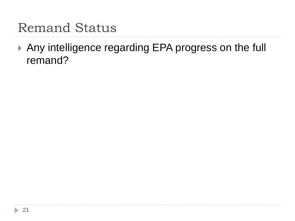### Remand Status

 Any intelligence regarding EPA progress on the full remand?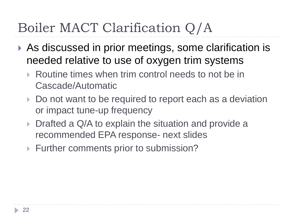## Boiler MACT Clarification Q/A

- ▶ As discussed in prior meetings, some clarification is needed relative to use of oxygen trim systems
	- ▶ Routine times when trim control needs to not be in Cascade/Automatic
	- Do not want to be required to report each as a deviation or impact tune-up frequency
	- Drafted a Q/A to explain the situation and provide a recommended EPA response- next slides
	- Further comments prior to submission?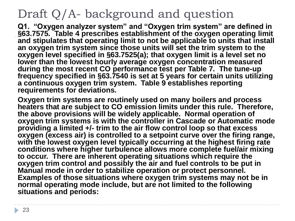#### Draft Q/A- background and question

**Q1. "Oxygen analyzer system" and "Oxygen trim system" are defined in §63.7575. Table 4 prescribes establishment of the oxygen operating limit and stipulates that operating limit to not be applicable to units that install an oxygen trim system since those units will set the trim system to the oxygen level specified in §63.7525(a); that oxygen limit is a level set no lower than the lowest hourly average oxygen concentration measured during the most recent CO performance test per Table 7. The tune-up frequency specified in §63.7540 is set at 5 years for certain units utilizing a continuous oxygen trim system. Table 9 establishes reporting requirements for deviations.** 

**Oxygen trim systems are routinely used on many boilers and process heaters that are subject to CO emission limits under this rule. Therefore, the above provisions will be widely applicable. Normal operation of**  oxygen trim systems is with the controller in Cascade or Automatic mode **providing a limited +/- trim to the air flow control loop so that excess oxygen (excess air) is controlled to a setpoint curve over the firing range, with the lowest oxygen level typically occurring at the highest firing rate conditions where higher turbulence allows more complete fuel/air mixing to occur. There are inherent operating situations which require the oxygen trim control and possibly the air and fuel controls to be put in Manual mode in order to stabilize operation or protect personnel. Examples of those situations where oxygen trim systems may not be in normal operating mode include, but are not limited to the following situations and periods:**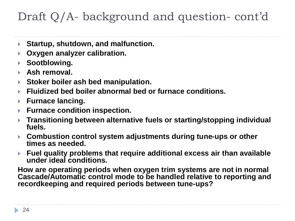#### Draft Q/A- background and question- cont'd

- **Startup, shutdown, and malfunction.**
- **Oxygen analyzer calibration.**
- **Sootblowing.**
- **Ash removal.**
- **Stoker boiler ash bed manipulation.**
- **Fluidized bed boiler abnormal bed or furnace conditions.**
- **Furnace lancing.**
- **Furnace condition inspection.**
- **Transitioning between alternative fuels or starting/stopping individual fuels.**
- **Combustion control system adjustments during tune-ups or other times as needed.**
- **Fuel quality problems that require additional excess air than available under ideal conditions.**

**How are operating periods when oxygen trim systems are not in normal Cascade/Automatic control mode to be handled relative to reporting and recordkeeping and required periods between tune-ups?**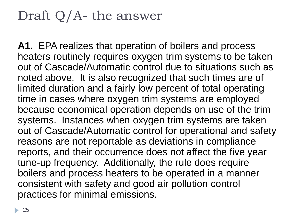## Draft Q/A- the answer

**A1.** EPA realizes that operation of boilers and process heaters routinely requires oxygen trim systems to be taken out of Cascade/Automatic control due to situations such as noted above. It is also recognized that such times are of limited duration and a fairly low percent of total operating time in cases where oxygen trim systems are employed because economical operation depends on use of the trim systems. Instances when oxygen trim systems are taken out of Cascade/Automatic control for operational and safety reasons are not reportable as deviations in compliance reports, and their occurrence does not affect the five year tune-up frequency. Additionally, the rule does require boilers and process heaters to be operated in a manner consistent with safety and good air pollution control practices for minimal emissions.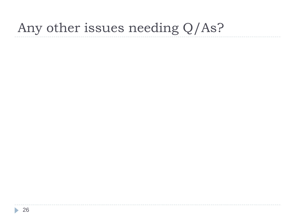## Any other issues needing Q/As?

ь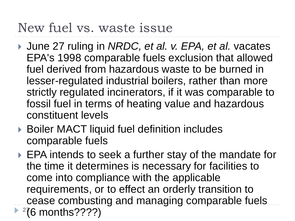## New fuel vs. waste issue

- June 27 ruling in *NRDC, et al. v. EPA, et al.* vacates EPA's 1998 comparable fuels exclusion that allowed fuel derived from hazardous waste to be burned in lesser-regulated industrial boilers, rather than more strictly regulated incinerators, if it was comparable to fossil fuel in terms of heating value and hazardous constituent levels
- ▶ Boiler MACT liquid fuel definition includes comparable fuels
- ▶ EPA intends to seek a further stay of the mandate for the time it determines is necessary for facilities to come into compliance with the applicable requirements, or to effect an orderly transition to cease combusting and managing comparable fuels  $\blacktriangleright$  <sup>27</sup>6 months????)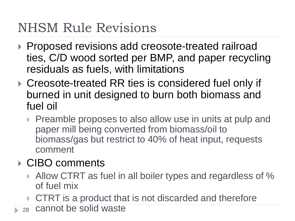## NHSM Rule Revisions

- ▶ Proposed revisions add creosote-treated railroad ties, C/D wood sorted per BMP, and paper recycling residuals as fuels, with limitations
- ▶ Creosote-treated RR ties is considered fuel only if burned in unit designed to burn both biomass and fuel oil
	- Preamble proposes to also allow use in units at pulp and paper mill being converted from biomass/oil to biomass/gas but restrict to 40% of heat input, requests comment

#### **▶ CIBO comments**

- Allow CTRT as fuel in all boiler types and regardless of % of fuel mix
- ▶ CTRT is a product that is not discarded and therefore
- <sup>28</sup> cannot be solid waste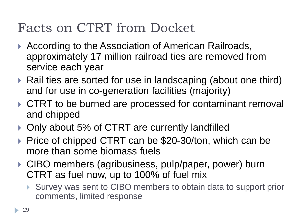## Facts on CTRT from Docket

- ▶ According to the Association of American Railroads, approximately 17 million railroad ties are removed from service each year
- ▶ Rail ties are sorted for use in landscaping (about one third) and for use in co-generation facilities (majority)
- ▶ CTRT to be burned are processed for contaminant removal and chipped
- ▶ Only about 5% of CTRT are currently landfilled
- ▶ Price of chipped CTRT can be \$20-30/ton, which can be more than some biomass fuels
- ▶ CIBO members (agribusiness, pulp/paper, power) burn CTRT as fuel now, up to 100% of fuel mix
	- ▶ Survey was sent to CIBO members to obtain data to support prior comments, limited response